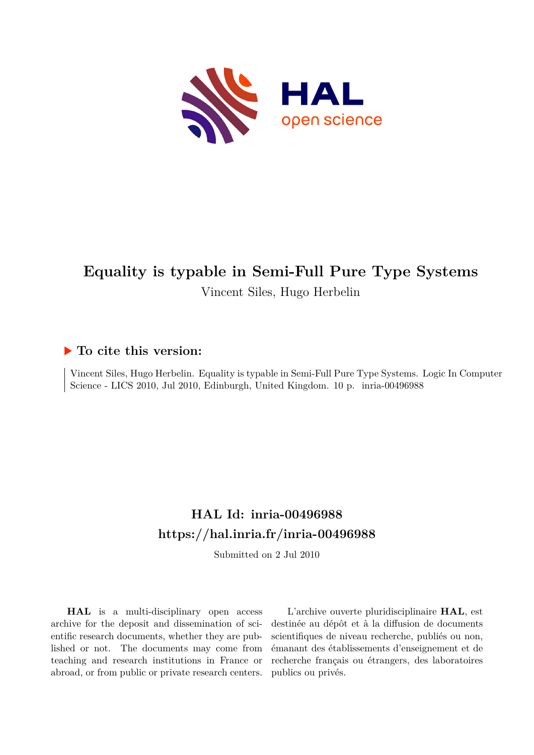

# **Equality is typable in Semi-Full Pure Type Systems** Vincent Siles, Hugo Herbelin

# **To cite this version:**

Vincent Siles, Hugo Herbelin. Equality is typable in Semi-Full Pure Type Systems. Logic In Computer Science - LICS 2010, Jul 2010, Edinburgh, United Kingdom. 10 p. inria-00496988

# **HAL Id: inria-00496988 <https://hal.inria.fr/inria-00496988>**

Submitted on 2 Jul 2010

**HAL** is a multi-disciplinary open access archive for the deposit and dissemination of scientific research documents, whether they are published or not. The documents may come from teaching and research institutions in France or abroad, or from public or private research centers.

L'archive ouverte pluridisciplinaire **HAL**, est destinée au dépôt et à la diffusion de documents scientifiques de niveau recherche, publiés ou non, émanant des établissements d'enseignement et de recherche français ou étrangers, des laboratoires publics ou privés.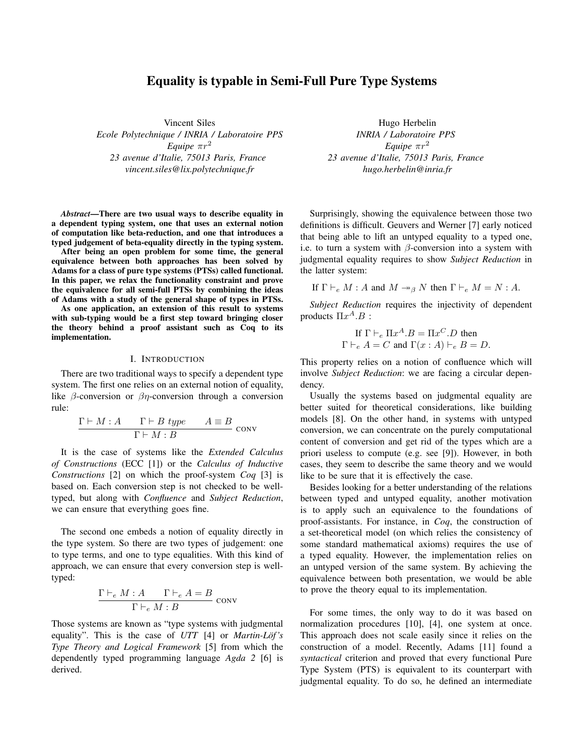# Equality is typable in Semi-Full Pure Type Systems

Vincent Siles *Ecole Polytechnique / INRIA / Laboratoire PPS Equipe*  $πr^2$ *23 avenue d'Italie, 75013 Paris, France vincent.siles@lix.polytechnique.fr*

*Abstract*—There are two usual ways to describe equality in a dependent typing system, one that uses an external notion of computation like beta-reduction, and one that introduces a typed judgement of beta-equality directly in the typing system.

After being an open problem for some time, the general equivalence between both approaches has been solved by Adams for a class of pure type systems (PTSs) called functional. In this paper, we relax the functionality constraint and prove the equivalence for all semi-full PTSs by combining the ideas of Adams with a study of the general shape of types in PTSs.

As one application, an extension of this result to systems with sub-typing would be a first step toward bringing closer the theory behind a proof assistant such as Coq to its implementation.

#### I. INTRODUCTION

There are two traditional ways to specify a dependent type system. The first one relies on an external notion of equality, like  $\beta$ -conversion or  $\beta\eta$ -conversion through a conversion rule:

$$
\frac{\Gamma \vdash M : A \qquad \Gamma \vdash B \ type \qquad A \equiv B}{\Gamma \vdash M : B} \text{ conv}
$$

It is the case of systems like the *Extended Calculus of Constructions* (ECC [1]) or the *Calculus of Inductive Constructions* [2] on which the proof-system *Coq* [3] is based on. Each conversion step is not checked to be welltyped, but along with *Confluence* and *Subject Reduction*, we can ensure that everything goes fine.

The second one embeds a notion of equality directly in the type system. So there are two types of judgement: one to type terms, and one to type equalities. With this kind of approach, we can ensure that every conversion step is welltyped:

$$
\frac{\Gamma \vdash_e M : A \qquad \Gamma \vdash_e A = B}{\Gamma \vdash_e M : B} \text{ conv}
$$

Those systems are known as "type systems with judgmental equality". This is the case of *UTT* [4] or *Martin-Löf's Type Theory and Logical Framework* [5] from which the dependently typed programming language *Agda 2* [6] is derived.

Hugo Herbelin *INRIA / Laboratoire PPS Equipe*  $\pi r^2$ *23 avenue d'Italie, 75013 Paris, France hugo.herbelin@inria.fr*

Surprisingly, showing the equivalence between those two definitions is difficult. Geuvers and Werner [7] early noticed that being able to lift an untyped equality to a typed one, i.e. to turn a system with  $\beta$ -conversion into a system with judgmental equality requires to show *Subject Reduction* in the latter system:

If 
$$
\Gamma \vdash_e M : A
$$
 and  $M \rightarrow_B N$  then  $\Gamma \vdash_e M = N : A$ .

*Subject Reduction* requires the injectivity of dependent products  $\Pi x^A.B$  :

If 
$$
\Gamma \vdash_e \Pi x^A.B = \Pi x^C.D
$$
 then  
\n $\Gamma \vdash_e A = C$  and  $\Gamma(x : A) \vdash_e B = D$ .

This property relies on a notion of confluence which will involve *Subject Reduction*: we are facing a circular dependency.

Usually the systems based on judgmental equality are better suited for theoretical considerations, like building models [8]. On the other hand, in systems with untyped conversion, we can concentrate on the purely computational content of conversion and get rid of the types which are a priori useless to compute (e.g. see [9]). However, in both cases, they seem to describe the same theory and we would like to be sure that it is effectively the case.

Besides looking for a better understanding of the relations between typed and untyped equality, another motivation is to apply such an equivalence to the foundations of proof-assistants. For instance, in *Coq*, the construction of a set-theoretical model (on which relies the consistency of some standard mathematical axioms) requires the use of a typed equality. However, the implementation relies on an untyped version of the same system. By achieving the equivalence between both presentation, we would be able to prove the theory equal to its implementation.

For some times, the only way to do it was based on normalization procedures [10], [4], one system at once. This approach does not scale easily since it relies on the construction of a model. Recently, Adams [11] found a *syntactical* criterion and proved that every functional Pure Type System (PTS) is equivalent to its counterpart with judgmental equality. To do so, he defined an intermediate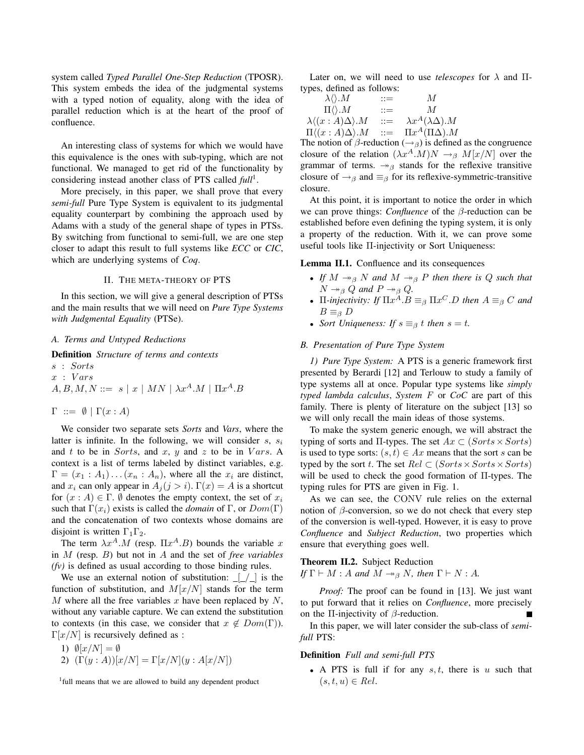system called *Typed Parallel One-Step Reduction* (TPOSR). This system embeds the idea of the judgmental systems with a typed notion of equality, along with the idea of parallel reduction which is at the heart of the proof of confluence.

An interesting class of systems for which we would have this equivalence is the ones with sub-typing, which are not functional. We managed to get rid of the functionality by considering instead another class of PTS called *full*<sup>1</sup>.

More precisely, in this paper, we shall prove that every *semi-full* Pure Type System is equivalent to its judgmental equality counterpart by combining the approach used by Adams with a study of the general shape of types in PTSs. By switching from functional to semi-full, we are one step closer to adapt this result to full systems like *ECC* or *CIC*, which are underlying systems of *Coq*.

#### II. THE META-THEORY OF PTS

In this section, we will give a general description of PTSs and the main results that we will need on *Pure Type Systems with Judgmental Equality* (PTSe).

## *A. Terms and Untyped Reductions*

Definition *Structure of terms and contexts*

s : Sorts  $x : Vars$  $A, B, M, N ::= s | x | MN | \lambda x^A.M | \Pi x^A.B$ 

 $\Gamma \ ::= \emptyset \mid \Gamma(x:A)$ 

We consider two separate sets *Sorts* and *Vars*, where the latter is infinite. In the following, we will consider  $s, s_i$ and t to be in Sorts, and x, y and z to be in Vars. A context is a list of terms labeled by distinct variables, e.g.  $\Gamma = (x_1 : A_1) \dots (x_n : A_n)$ , where all the  $x_i$  are distinct, and  $x_i$  can only appear in  $A_j$  ( $j > i$ ).  $\Gamma(x) = A$  is a shortcut for  $(x : A) \in \Gamma$ .  $\emptyset$  denotes the empty context, the set of  $x_i$ such that  $\Gamma(x_i)$  exists is called the *domain* of  $\Gamma$ , or  $Dom(\Gamma)$ and the concatenation of two contexts whose domains are disjoint is written  $\Gamma_1\Gamma_2$ .

The term  $\lambda x^A \cdot M$  (resp.  $\Pi x^A \cdot B$ ) bounds the variable x in M (resp. B) but not in A and the set of *free variables (fv)* is defined as usual according to those binding rules.

We use an external notion of substitution:  $\lfloor \frac{1}{2} \rfloor$  is the function of substitution, and  $M[x/N]$  stands for the term M where all the free variables x have been replaced by  $N$ , without any variable capture. We can extend the substitution to contexts (in this case, we consider that  $x \notin Dom(\Gamma)$ ).  $\Gamma[x/N]$  is recursively defined as :

1)  $\emptyset[x/N] = \emptyset$ 

2)  $(\Gamma(y : A))[x/N] = \Gamma[x/N](y : A[x/N])$ 

<sup>1</sup> full means that we are allowed to build any dependent product

Later on, we will need to use *telescopes* for  $\lambda$  and  $\Pi$ types, defined as follows:

| $\lambda \langle \rangle.M$                     | $::=$                 | M                                  |
|-------------------------------------------------|-----------------------|------------------------------------|
| $\Pi\langle\rangle.M$                           | $\mathrel{\mathop:}=$ | $\mathcal{M}$                      |
| $\lambda \langle (x:A)\Delta \rangle \langle M$ | $::=$                 | $\lambda x^A (\lambda \Delta) . M$ |
| $\Pi \langle (x:A)\Delta \rangle \langle M$     | $::=$                 | $\Pi x^A(\Pi\Delta).M$             |

The notion of  $\beta$ -reduction ( $\rightarrow$ <sub>β</sub>) is defined as the congruence closure of the relation  $(\lambda x^A \cdot M)N \rightarrow_\beta M[x/N]$  over the grammar of terms.  $\rightarrow_{\beta}$  stands for the reflexive transitive closure of  $\rightarrow$ <sub>β</sub> and  $\equiv$ <sub>β</sub> for its reflexive-symmetric-transitive closure.

At this point, it is important to notice the order in which we can prove things: *Confluence* of the β-reduction can be established before even defining the typing system, it is only a property of the reduction. With it, we can prove some useful tools like Π-injectivity or Sort Uniqueness:

Lemma II.1. Confluence and its consequences

- *If*  $M \rightarrow_B N$  *and*  $M \rightarrow_B P$  *then there is* Q *such that*  $N \rightarrow_{\beta} Q$  and  $P \rightarrow_{\beta} Q$ .
- $\Pi$ -injectivity: If  $\Pi x^A.B \equiv_\beta \Pi x^C.D$  then  $A \equiv_\beta C$  and  $B \equiv_{\beta} D$
- *Sort Uniqueness: If*  $s \equiv_\beta t$  *then*  $s = t$ *.*

# *B. Presentation of Pure Type System*

*1) Pure Type System:* A PTS is a generic framework first presented by Berardi [12] and Terlouw to study a family of type systems all at once. Popular type systems like *simply typed lambda calculus*, *System* F or *CoC* are part of this family. There is plenty of literature on the subject [13] so we will only recall the main ideas of those systems.

To make the system generic enough, we will abstract the typing of sorts and  $\Pi$ -types. The set  $Ax \subset (Sorts \times Sorts)$ is used to type sorts:  $(s, t) \in Ax$  means that the sort s can be typed by the sort t. The set  $Rel \subset (Sorts \times Sorts \times Sorts)$ will be used to check the good formation of Π-types. The typing rules for PTS are given in Fig. 1.

As we can see, the CONV rule relies on the external notion of  $\beta$ -conversion, so we do not check that every step of the conversion is well-typed. However, it is easy to prove *Confluence* and *Subject Reduction*, two properties which ensure that everything goes well.

# Theorem II.2. Subject Reduction *If*  $\Gamma \vdash M : A$  *and*  $M \rightarrow_{\beta} N$ *, then*  $\Gamma \vdash N : A$ *.*

*Proof:* The proof can be found in [13]. We just want to put forward that it relies on *Confluence*, more precisely on the  $\Pi$ -injectivity of  $\beta$ -reduction.

In this paper, we will later consider the sub-class of *semifull* PTS:

# Definition *Full and semi-full PTS*

• A PTS is full if for any  $s, t$ , there is u such that  $(s, t, u) \in Rel.$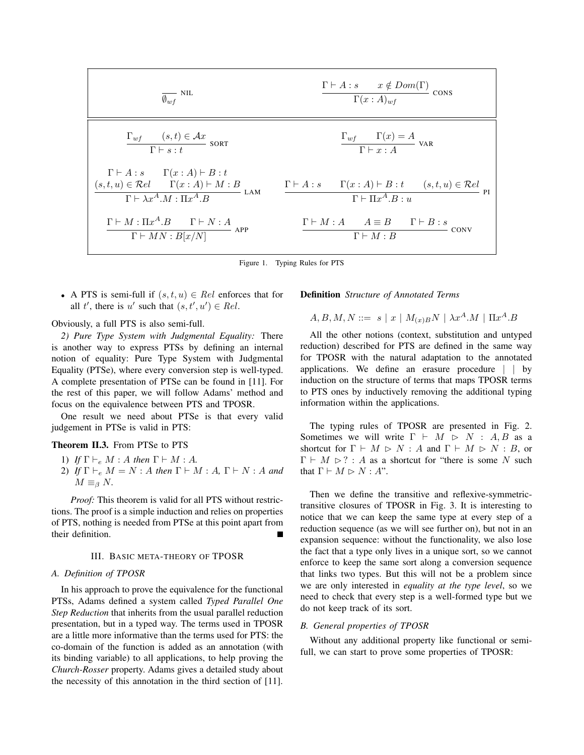| $\overline{\theta_{wf}}$ NIL    | $\Gamma \vdash A : s$ $x \notin Dom(\Gamma)$ cons |                                                                   |                       |      |
|---------------------------------|---------------------------------------------------|-------------------------------------------------------------------|-----------------------|------|
| $\Gamma_{wf}$                   | $(s, t) \in \mathcal{A}x$                         | $\Gamma(x : A)_{wf}$                                              | $\Gamma(x : A)_{wf}$  |      |
| $\Gamma \vdash s : t$           | son                                               | $\frac{\Gamma_{wf} \quad \Gamma(x) = A}{\Gamma \vdash x : A}$ VAR |                       |      |
| $\Gamma \vdash A : s$           | $\Gamma(x : A) \vdash B : t$                      | $\Gamma \vdash x : A$                                             | VAR                   |      |
| $\Gamma \vdash A : s$           | $\Gamma(x : A) \vdash B : t$                      | $\Gamma \vdash x : A$                                             | VAR                   |      |
| $\Gamma \vdash A : s$           | $\Gamma(x : A) \vdash B : t$                      | $\Gamma \vdash x : A$                                             | VaR                   |      |
| $\Gamma \vdash A : s$           | $\Gamma(x : A) \vdash B : t$                      | $\Gamma(x : A) \vdash B : t$                                      | $(s, t, u) \in Rel$   | Pl   |
| $\Gamma \vdash M : \Pi x^A . B$ | $\Gamma \vdash M : A$                             | $A \equiv B$                                                      | $\Gamma \vdash B : s$ | conv |
| $\Gamma \vdash MN : B[x/N]$     | APP                                               | $\Gamma \vdash M : B$                                             | $\Gamma \vdash M : B$ | conv |

Figure 1. Typing Rules for PTS

• A PTS is semi-full if  $(s, t, u) \in Rel$  enforces that for all t', there is u' such that  $(s, t', u') \in Rel$ .

Obviously, a full PTS is also semi-full.

*2) Pure Type System with Judgmental Equality:* There is another way to express PTSs by defining an internal notion of equality: Pure Type System with Judgmental Equality (PTSe), where every conversion step is well-typed. A complete presentation of PTSe can be found in [11]. For the rest of this paper, we will follow Adams' method and focus on the equivalence between PTS and TPOSR.

One result we need about PTSe is that every valid judgement in PTSe is valid in PTS:

# Theorem II.3. From PTSe to PTS

- 1) *If*  $\Gamma \vdash_e M : A$  *then*  $\Gamma \vdash M : A$ .
- 2) *If*  $\Gamma \vdash_e M = N : A$  *then*  $\Gamma \vdash M : A$ ,  $\Gamma \vdash N : A$  *and*  $M \equiv_{\beta} N$ .

*Proof:* This theorem is valid for all PTS without restrictions. The proof is a simple induction and relies on properties of PTS, nothing is needed from PTSe at this point apart from their definition.

#### III. BASIC META-THEORY OF TPOSR

#### *A. Definition of TPOSR*

In his approach to prove the equivalence for the functional PTSs, Adams defined a system called *Typed Parallel One Step Reduction* that inherits from the usual parallel reduction presentation, but in a typed way. The terms used in TPOSR are a little more informative than the terms used for PTS: the co-domain of the function is added as an annotation (with its binding variable) to all applications, to help proving the *Church-Rosser* property. Adams gives a detailed study about the necessity of this annotation in the third section of [11].

# Definition *Structure of Annotated Terms*

$$
A,B,M,N ::= s \mid x \mid M_{(x)B}N \mid \lambda x^A.M \mid \Pi x^A.B
$$

All the other notions (context, substitution and untyped reduction) described for PTS are defined in the same way for TPOSR with the natural adaptation to the annotated applications. We define an erasure procedure | | by induction on the structure of terms that maps TPOSR terms to PTS ones by inductively removing the additional typing information within the applications.

The typing rules of TPOSR are presented in Fig. 2. Sometimes we will write  $\Gamma \vdash M \rhd N : A, B$  as a shortcut for  $\Gamma \vdash M \rhd N : A$  and  $\Gamma \vdash M \rhd N : B$ , or  $\Gamma \vdash M \rhd ?$  : A as a shortcut for "there is some N such that  $\Gamma \vdash M \rhd N : A$ ".

Then we define the transitive and reflexive-symmetrictransitive closures of TPOSR in Fig. 3. It is interesting to notice that we can keep the same type at every step of a reduction sequence (as we will see further on), but not in an expansion sequence: without the functionality, we also lose the fact that a type only lives in a unique sort, so we cannot enforce to keep the same sort along a conversion sequence that links two types. But this will not be a problem since we are only interested in *equality at the type level*, so we need to check that every step is a well-formed type but we do not keep track of its sort.

#### *B. General properties of TPOSR*

Without any additional property like functional or semifull, we can start to prove some properties of TPOSR: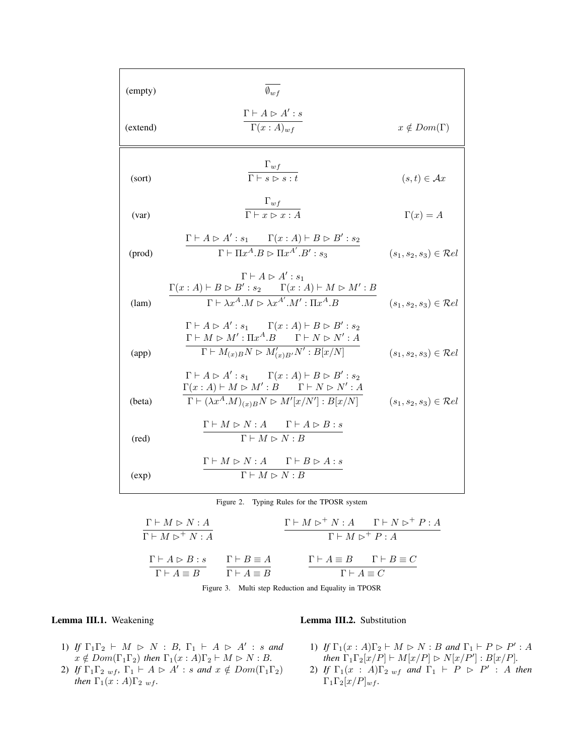| (empty)  | $\overline{\emptyset_{w}f}$                                                                                                                                                                                                                                              |                                     |
|----------|--------------------------------------------------------------------------------------------------------------------------------------------------------------------------------------------------------------------------------------------------------------------------|-------------------------------------|
| (extend) | $\Gamma\vdash A \rhd A': s$<br>$\Gamma(x:A)_{wf}$                                                                                                                                                                                                                        | $x \notin Dom(\Gamma)$              |
| (sort)   | $\frac{\Gamma_{wf}}{\Gamma \vdash s \rhd s : t}$                                                                                                                                                                                                                         | $(s,t)\in \mathcal{A}x$             |
| (var)    | $\frac{\Gamma_{wf}}{\Gamma \vdash x \rhd x : A}$                                                                                                                                                                                                                         | $\Gamma(x) = A$                     |
| (prod)   | $\Gamma \vdash A \rhd A' : s_1 \qquad \Gamma(x:A) \vdash B \rhd B' : s_2$<br>$\overline{\Gamma \vdash \Pi x^A . B \rhd \Pi x^{A'} . B' : s_3}$                                                                                                                           | $(s_1, s_2, s_3) \in \mathcal{R}el$ |
| (lam)    | $\Gamma\vdash A\vartriangleright A':s_1$<br>$\Gamma(x:A) \vdash B \vartriangleright B': s_2 \quad \begin{array}{c} \quad \Gamma(x:A) \vdash M \vartriangleright M': B \end{array}$<br>$\Gamma \vdash \lambda x^A \cdot M \rhd \lambda x^{A'} \cdot M' : \Pi x^A \cdot B$ | $(s_1, s_2, s_3) \in \mathcal{R}el$ |
| (app)    | $\Gamma \vdash A \rhd A' : s_1 \qquad \Gamma(x:A) \vdash B \rhd B' : s_2$<br>$\Gamma \vdash M \vartriangleright M' : \Pi x^A . B \qquad \Gamma \vdash N \vartriangleright N' : A$<br>$\Gamma \vdash M_{(x)B}N \rhd M'_{(x)B'}N':B[x/N]$                                  | $(s_1, s_2, s_3) \in Rel$           |
| (beta)   | $\Gamma \vdash A \rhd A' : s_1 \qquad \Gamma(x:A) \vdash B \rhd B' : s_2$<br>$\Gamma(x:A) \vdash M \rhd M': B \qquad \Gamma \vdash N \rhd N': A$<br>$\Gamma \vdash (\lambda x^A.M)_{(x)B}N \rhd M'[x/N'] : B[x/N]$                                                       | $(s_1, s_2, s_3) \in Rel$           |
| (red)    | $\Gamma \vdash M \rhd N : A \qquad \Gamma \vdash A \rhd B : s$<br>$\Gamma \vdash M \rhd N : \overline{B}$                                                                                                                                                                |                                     |
| (exp)    | $\Gamma \vdash M \rhd N : A \qquad \Gamma \vdash B \rhd A : s$<br>$\Gamma \vdash M \rhd N : B$                                                                                                                                                                           |                                     |

Figure 2. Typing Rules for the TPOSR system

$$
\frac{\Gamma \vdash M \rhd N : A}{\Gamma \vdash M \rhd^+ N : A}
$$
\n
$$
\frac{\Gamma \vdash M \rhd^+ N : A \qquad \Gamma \vdash N \rhd^+ P : A}{\Gamma \vdash M \rhd^+ P : A}
$$
\n
$$
\frac{\Gamma \vdash A \rhd B : s}{\Gamma \vdash A \equiv B}
$$
\n
$$
\frac{\Gamma \vdash B \equiv A}{\Gamma \vdash A \equiv B}
$$
\n
$$
\frac{\Gamma \vdash A \equiv B \qquad \Gamma \vdash B \equiv C}{\Gamma \vdash A \equiv C}
$$

Figure 3. Multi step Reduction and Equality in TPOSR

# Lemma III.1. Weakening

Lemma III.2. Substitution

- 1) *If*  $\Gamma_1 \Gamma_2 \vdash M \supset N : B, \Gamma_1 \vdash A \supset A' : s$  *and*  $x \notin Dom(\Gamma_1\Gamma_2)$  then  $\Gamma_1(x:A)\Gamma_2 \vdash M \rhd N : B$ .
- 2) *If*  $\Gamma_1 \Gamma_2$  <sub>wf</sub>,  $\Gamma_1 \vdash A \rhd A' : s$  *and*  $x \notin Dom(\Gamma_1 \Gamma_2)$ *then*  $\Gamma_1(x:A)\Gamma_{2,wf}$ *.*
- 1) *If*  $\Gamma_1(x : A)\Gamma_2 \vdash M \rhd N : B$  *and*  $\Gamma_1 \vdash P \rhd P' : A$ *then*  $\Gamma_1 \Gamma_2[x/P] \vdash M[x/P] \rhd N[x/P'] : B[x/P]$ *.*
- 2) *If*  $\Gamma_1(x : A)\Gamma_{2 \text{ w}f}$  *and*  $\Gamma_1 \vdash P \triangleright P' : A$  *then*  $\Gamma_1\Gamma_2[x/P]_{wf}$ *.*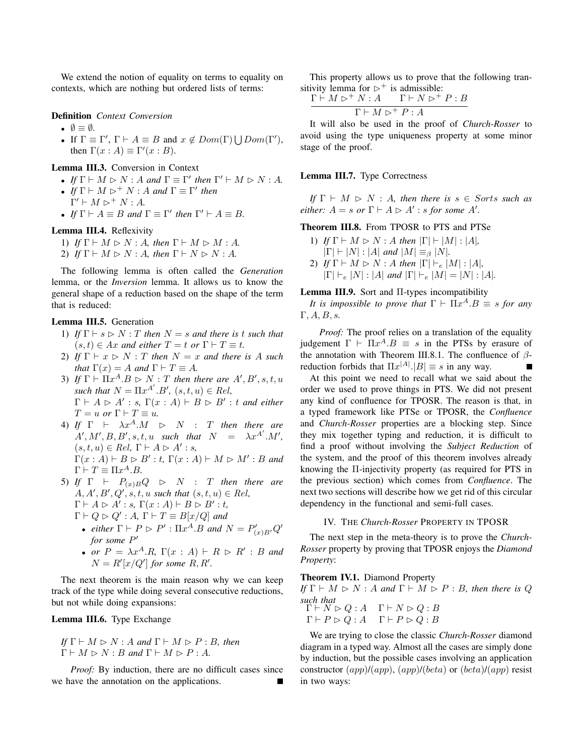We extend the notion of equality on terms to equality on contexts, which are nothing but ordered lists of terms:

#### Definition *Context Conversion*

- $\emptyset \equiv \emptyset$ .
- If  $\Gamma \equiv \Gamma'$ ,  $\Gamma \vdash A \equiv B$  and  $x \notin Dom(\Gamma) \bigcup Dom(\Gamma')$ , then  $\Gamma(x : A) \equiv \Gamma'(x : B)$ .

# Lemma III.3. Conversion in Context

- *If*  $\Gamma \vdash M \rhd N : A$  *and*  $\Gamma \equiv \Gamma'$  *then*  $\Gamma' \vdash M \rhd N : A$ *.*
- *If*  $\Gamma \vdash M \rhd^+ N : A$  *and*  $\Gamma \equiv \Gamma'$  *then*  $\Gamma' \vdash M \rhd^+ N : A.$
- *If*  $\Gamma \vdash A \equiv B$  *and*  $\Gamma \equiv \Gamma'$  *then*  $\Gamma' \vdash A \equiv B$ *.*

# Lemma III.4. Reflexivity

- 1) *If*  $\Gamma \vdash M \rhd N : A$ *, then*  $\Gamma \vdash M \rhd M : A$ *.*
- 2) *If*  $\Gamma \vdash M \rhd N : A$ *, then*  $\Gamma \vdash N \rhd N : A$ *.*

The following lemma is often called the *Generation* lemma, or the *Inversion* lemma. It allows us to know the general shape of a reduction based on the shape of the term that is reduced:

# Lemma III.5. Generation

- 1) *If*  $\Gamma \vdash s \rhd N : T$  *then*  $N = s$  *and there is* t *such that*  $(s, t) \in Ax$  *and either*  $T = t$  *or*  $\Gamma \vdash T \equiv t$ *.*
- 2) *If*  $\Gamma \vdash x \rhd N : T$  *then*  $N = x$  *and there is* A *such that*  $\Gamma(x) = A$  *and*  $\Gamma \vdash T \equiv A$ *.*
- 3) If  $\Gamma \vdash \Pi x^A \cdot B \rhd N : T$  then there are  $A', B', s, t, u$ such that  $N = \prod x^{A'}$ .  $B'$ ,  $(s, t, u) \in Rel$ ,  $\Gamma \vdash A \rhd A' : s, \Gamma(x : A) \vdash B \rhd B' : t \text{ and either}$  $T = u$  *or*  $\Gamma \vdash T \equiv u$ .
- 4) If  $\Gamma$   $\vdash$   $\lambda x^A \cdot M$   $\triangleright$  N : T then there are  $A', M', B, B', s, t, u$  such that  $N = \lambda x^{A'} . M',$  $(s, t, u) \in Rel$ ,  $\Gamma \vdash A \rhd A' : s$ ,  $\Gamma(x:A) \vdash B \rhd B': t, \Gamma(x:A) \vdash M \rhd M': B$  and  $\Gamma \vdash T \equiv \Pi x^A . B.$
- 5) *If*  $\Gamma$   $\vdash$   $P_{(x)B}Q$   $\triangleright$  *N* : *T* then there are  $A, A', B', Q', s, t, u \text{ such that } (s, t, u) \in Rel,$  $\Gamma \vdash A \rhd A' : s, \Gamma(x:A) \vdash B \rhd B' : t$ 
	- $\Gamma \vdash Q \rhd Q' : A, \; \Gamma \vdash T \equiv B[x/Q]$  and
	- *either*  $\Gamma \vdash P \rhd P'$  :  $\Pi x^A . B$  *and*  $N = P'_{(x)B'}Q'$ *for some* P ′
	- *or*  $P = \lambda x^A \cdot R$ ,  $\Gamma(x : A) \vdash R \triangleright R' : B$  *and*  $N = R'[x/Q']$  for some  $R, R'$ .

The next theorem is the main reason why we can keep track of the type while doing several consecutive reductions, but not while doing expansions:

# Lemma III.6. Type Exchange

If 
$$
\Gamma \vdash M \rhd N : A
$$
 and  $\Gamma \vdash M \rhd P : B$ , then  
 $\Gamma \vdash M \rhd N : B$  and  $\Gamma \vdash M \rhd P : A$ .

*Proof:* By induction, there are no difficult cases since we have the annotation on the applications.

This property allows us to prove that the following transitivity lemma for  $\triangleright^+$  is admissible:

$$
\frac{\Gamma \vdash M \rhd^+ N:A \qquad \Gamma \vdash N \rhd^+ P:B}{\Gamma \vdash M \rhd^+ P:A}
$$

It will also be used in the proof of *Church-Rosser* to avoid using the type uniqueness property at some minor stage of the proof.

#### Lemma III.7. Type Correctness

*If*  $\Gamma \vdash M \rhd N : A$ *, then there is*  $s \in S$ *orts such as either:*  $A = s$  *or*  $\Gamma \vdash A \rhd A'$  *: s for some*  $A'$ *.* 

# Theorem III.8. From TPOSR to PTS and PTSe

1) *If*  $\Gamma \vdash M \rhd N : A$  *then*  $|\Gamma| \vdash |M| : |A|$ ,  $|\Gamma|$   $\vdash$   $|N|$  :  $|A|$  *and*  $|M| \equiv_{\beta} |N|$ *.* 2) *If*  $\Gamma \vdash M \rhd N : A$  *then*  $|\Gamma| \vdash_e |M| : |A|$ ,  $|\Gamma| \vdash_e |N| : |A|$  *and*  $|\Gamma| \vdash_e |M| = |N| : |A|$ *.* 

# Lemma III.9. Sort and Π-types incompatibility

*It is impossible to prove that*  $\Gamma \vdash \Pi x^A . B \equiv s$  *for any*  $\Gamma$ ,  $A$ ,  $B$ ,  $s$ .

*Proof:* The proof relies on a translation of the equality judgement  $\Gamma \vdash \Pi x^A . B \equiv s$  in the PTSs by erasure of the annotation with Theorem III.8.1. The confluence of  $\beta$ reduction forbids that  $\Pi x^{|A|}$ .  $|B| \equiv s$  in any way.

At this point we need to recall what we said about the order we used to prove things in PTS. We did not present any kind of confluence for TPOSR. The reason is that, in a typed framework like PTSe or TPOSR, the *Confluence* and *Church-Rosser* properties are a blocking step. Since they mix together typing and reduction, it is difficult to find a proof without involving the *Subject Reduction* of the system, and the proof of this theorem involves already knowing the Π-injectivity property (as required for PTS in the previous section) which comes from *Confluence*. The next two sections will describe how we get rid of this circular dependency in the functional and semi-full cases.

#### IV. THE *Church-Rosser* PROPERTY IN TPOSR

The next step in the meta-theory is to prove the *Church-Rosser* property by proving that TPOSR enjoys the *Diamond Property*:

#### Theorem IV.1. Diamond Property

*If*  $\Gamma \vdash M \rhd N : A$  *and*  $\Gamma \vdash M \rhd P : B$ *, then there is* Q *such that*  $F \cup M$  :

$$
\Gamma \vdash N \triangleright Q : A \quad \Gamma \vdash N \triangleright Q : B
$$

$$
\Gamma \vdash P \triangleright Q : A \quad \Gamma \vdash P \triangleright Q : B
$$

We are trying to close the classic *Church-Rosser* diamond diagram in a typed way. Almost all the cases are simply done by induction, but the possible cases involving an application constructor  $(app)/(app)$ ,  $(app)/(beta)$  or  $(beta)/(app)$  resist in two ways: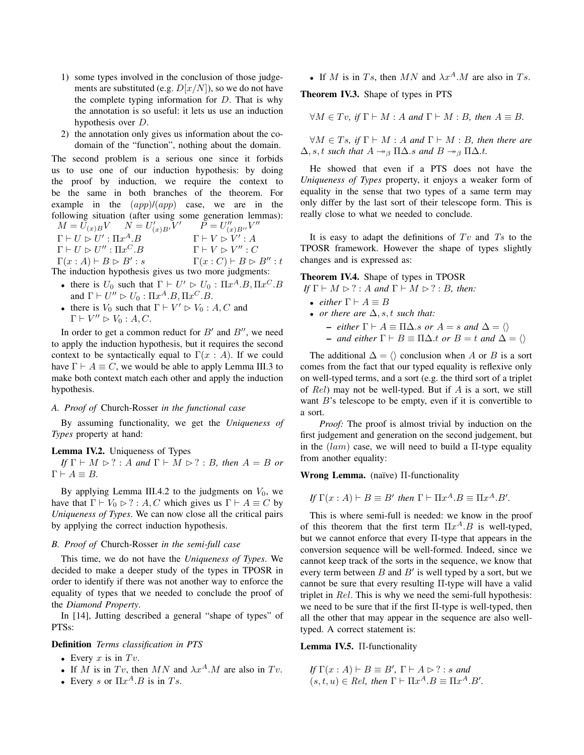- 1) some types involved in the conclusion of those judgements are substituted (e.g.  $D[x/N]$ ), so we do not have the complete typing information for  $D$ . That is why the annotation is so useful: it lets us use an induction hypothesis over D.
- 2) the annotation only gives us information about the codomain of the "function", nothing about the domain.

The second problem is a serious one since it forbids us to use one of our induction hypothesis: by doing the proof by induction, we require the context to be the same in both branches of the theorem. For example in the  $(app)/(app)$  case, we are in the following situation (after using some generation lemmas):  $M = \bar{U}_{(x)B}V \quad N = U'_{(x)B'}V' \quad P = U''_{(x)B''}V''$  $\Gamma \vdash U \rhd U' : \Pi x$  $A.B \qquad \qquad \Gamma \vdash V \rhd V' : A$  $\Gamma \vdash U \rhd U'' : \Pi x$ C.B  $\Gamma \vdash V \rhd V'' : C$  $\Gamma(x:A) \vdash B \rhd B' : s$  $\Gamma(x : C) \vdash B \rhd B'' : t$ The induction hypothesis gives us two more judgments:

- there is  $U_0$  such that  $\Gamma \vdash U' \rhd U_0 : \Pi x^A . B , \Pi x^C . B$ and  $\Gamma \vdash U'' \rhd U_0 : \Pi x^A . B, \Pi x^C . B$ .
- there is  $V_0$  such that  $\Gamma \vdash V' \rhd V_0 : A, C$  and  $\Gamma \vdash V'' \rhd V_0 : A, C.$

In order to get a common reduct for  $B'$  and  $B''$ , we need to apply the induction hypothesis, but it requires the second context to be syntactically equal to  $\Gamma(x : A)$ . If we could have  $\Gamma \vdash A \equiv C$ , we would be able to apply Lemma III.3 to make both context match each other and apply the induction hypothesis.

### *A. Proof of* Church-Rosser *in the functional case*

By assuming functionality, we get the *Uniqueness of Types* property at hand:

#### Lemma IV.2. Uniqueness of Types

*If*  $\Gamma \vdash M \rhd ? : A$  *and*  $\Gamma \vdash M \rhd ? : B$ *, then*  $A = B$  *or*  $\Gamma \vdash A \equiv B$ .

By applying Lemma III.4.2 to the judgments on  $V_0$ , we have that  $\Gamma \vdash V_0 \rhd ? : A, C$  which gives us  $\Gamma \vdash A \equiv C$  by *Uniqueness of Types*. We can now close all the critical pairs by applying the correct induction hypothesis.

# *B. Proof of* Church-Rosser *in the semi-full case*

This time, we do not have the *Uniqueness of Types*. We decided to make a deeper study of the types in TPOSR in order to identify if there was not another way to enforce the equality of types that we needed to conclude the proof of the *Diamond Property*.

In [14], Jutting described a general "shape of types" of PTSs:

#### Definition *Terms classification in PTS*

- Every  $x$  is in  $Tv$ .
- If M is in Tv, then MN and  $\lambda x^A$ .M are also in Tv.
- Every s or  $\Pi x^A$ . B is in Ts.

• If M is in Ts, then MN and  $\lambda x^A \cdot M$  are also in Ts.

Theorem IV.3. Shape of types in PTS

$$
\forall M \in Tv, \text{ if } \Gamma \vdash M : A \text{ and } \Gamma \vdash M : B, \text{ then } A \equiv B.
$$

 $\forall M \in T_s$ , if  $\Gamma \vdash M : A$  and  $\Gamma \vdash M : B$ , then there are  $\Delta$ , *s*, *t such that*  $A \rightarrow_{\beta} \Pi \Delta$ *.s and*  $B \rightarrow_{\beta} \Pi \Delta$ *.t.* 

He showed that even if a PTS does not have the *Uniqueness of Types* property, it enjoys a weaker form of equality in the sense that two types of a same term may only differ by the last sort of their telescope form. This is really close to what we needed to conclude.

It is easy to adapt the definitions of  $Tv$  and  $Ts$  to the TPOSR framework. However the shape of types slightly changes and is expressed as:

# Theorem IV.4. Shape of types in TPOSR

*If*  $\Gamma \vdash M \rhd ? : A$  *and*  $\Gamma \vdash M \rhd ? : B$ *, then:* 

- *either*  $\Gamma \vdash A \equiv B$
- *or there are*  $\Delta$ , *s*, *t such that:* 
	- $-$  *either* Γ  $\vdash$  A  $\equiv$  ΠΔ.*s or* A = *s and* Δ =  $\langle$ )
	- $-$  *and either* Γ  $\vdash$  B  $\equiv$  Π $\Delta$ *.t or* B  $=$  t *and*  $\Delta$   $=$   $\langle$   $\rangle$

The additional  $\Delta = \langle \rangle$  conclusion when A or B is a sort comes from the fact that our typed equality is reflexive only on well-typed terms, and a sort (e.g. the third sort of a triplet of  $Rel$ ) may not be well-typed. But if A is a sort, we still want  $B$ 's telescope to be empty, even if it is convertible to a sort.

*Proof:* The proof is almost trivial by induction on the first judgement and generation on the second judgement, but in the  $(lam)$  case, we will need to build a  $\Pi$ -type equality from another equality:

Wrong Lemma. (naïve)  $\Pi$ -functionality

If 
$$
\Gamma(x : A) \vdash B \equiv B'
$$
 then  $\Gamma \vdash \Pi x^A . B \equiv \Pi x^A . B'.$ 

This is where semi-full is needed: we know in the proof of this theorem that the first term  $\Pi x^A \cdot B$  is well-typed, but we cannot enforce that every Π-type that appears in the conversion sequence will be well-formed. Indeed, since we cannot keep track of the sorts in the sequence, we know that every term between  $B$  and  $B'$  is well typed by a sort, but we cannot be sure that every resulting Π-type will have a valid triplet in Rel. This is why we need the semi-full hypothesis: we need to be sure that if the first  $\Pi$ -type is well-typed, then all the other that may appear in the sequence are also welltyped. A correct statement is:

# Lemma IV.5. Π-functionality

*If*  $\Gamma(x : A) \vdash B \equiv B'$ ,  $\Gamma \vdash A \rhd ? : s$  *and*  $(s, t, u) \in Rel$ , then  $\Gamma \vdash \Pi x^A . B \equiv \Pi x^A . B'$ .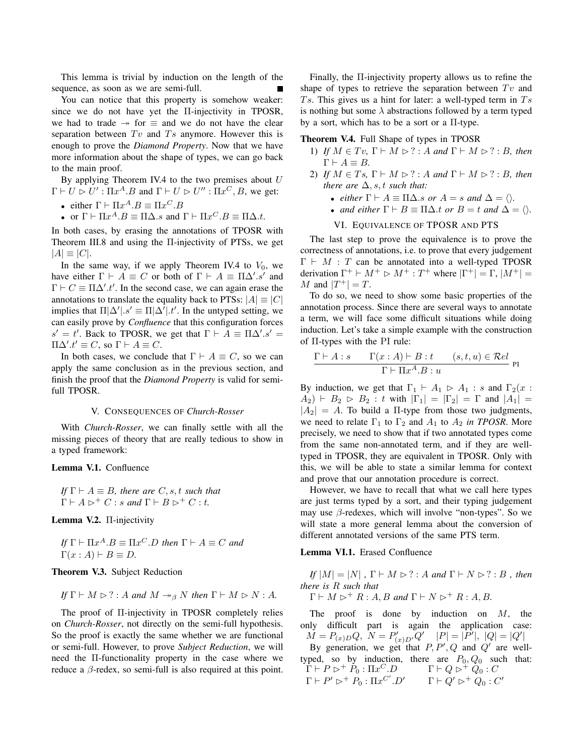This lemma is trivial by induction on the length of the sequence, as soon as we are semi-full.

You can notice that this property is somehow weaker: since we do not have yet the Π-injectivity in TPOSR, we had to trade  $\rightarrow$  for  $\equiv$  and we do not have the clear separation between  $Tv$  and  $Ts$  anymore. However this is enough to prove the *Diamond Property*. Now that we have more information about the shape of types, we can go back to the main proof.

By applying Theorem IV.4 to the two premises about  $U$  $\Gamma \vdash U \rhd U' : \Pi x^A \ldotp B$  and  $\Gamma \vdash U \rhd U'' : \Pi x^C \ldotp B$ , we get:

- either  $\Gamma \vdash \Pi x^A . B \equiv \Pi x^C . B$
- or  $\Gamma \vdash \Pi x^A . B \equiv \Pi \Delta . s$  and  $\Gamma \vdash \Pi x^C . B \equiv \Pi \Delta . t$ .

In both cases, by erasing the annotations of TPOSR with Theorem III.8 and using the Π-injectivity of PTSs, we get  $|A| \equiv |C|$ .

In the same way, if we apply Theorem IV.4 to  $V_0$ , we have either  $\Gamma \vdash A \equiv C$  or both of  $\Gamma \vdash A \equiv \Pi \Delta' . s'$  and  $\Gamma \vdash C \equiv \Pi \Delta' . t'$ . In the second case, we can again erase the annotations to translate the equality back to PTSs:  $|A| \equiv |C|$ implies that  $\Pi[\Delta'], s' \equiv \Pi[\Delta'].t'.$  In the untyped setting, we can easily prove by *Confluence* that this configuration forces  $s' = t'$ . Back to TPOSR, we get that  $\Gamma \vdash A \equiv \Pi \Delta'$ .  $s' =$  $\Pi\Delta'$ .t'  $\equiv C$ , so  $\Gamma \vdash A \equiv C$ .

In both cases, we conclude that  $\Gamma \vdash A \equiv C$ , so we can apply the same conclusion as in the previous section, and finish the proof that the *Diamond Property* is valid for semifull TPOSR.

#### V. CONSEQUENCES OF *Church-Rosser*

With *Church-Rosser*, we can finally settle with all the missing pieces of theory that are really tedious to show in a typed framework:

#### Lemma V.1. Confluence

*If*  $\Gamma \vdash A \equiv B$ *, there are C, s<sub>i</sub>, t such that*  $\Gamma \vdash A \rhd^+ C : s \text{ and } \Gamma \vdash B \rhd^+ C : t.$ 

Lemma V.2. Π-injectivity

If 
$$
\Gamma \vdash \Pi x^A . B \equiv \Pi x^C . D
$$
 then  $\Gamma \vdash A \equiv C$  and  
 $\Gamma(x : A) \vdash B \equiv D$ .

Theorem V.3. Subject Reduction

If 
$$
\Gamma \vdash M \rhd ?
$$
: A and  $M \rightarrow_{\beta} N$  then  $\Gamma \vdash M \rhd N$ : A.

The proof of Π-injectivity in TPOSR completely relies on *Church-Rosser*, not directly on the semi-full hypothesis. So the proof is exactly the same whether we are functional or semi-full. However, to prove *Subject Reduction*, we will need the Π-functionality property in the case where we reduce a  $\beta$ -redex, so semi-full is also required at this point.

Finally, the Π-injectivity property allows us to refine the shape of types to retrieve the separation between  $Tv$  and Ts. This gives us a hint for later: a well-typed term in  $Ts$ is nothing but some  $\lambda$  abstractions followed by a term typed by a sort, which has to be a sort or a Π-type.

# Theorem V.4. Full Shape of types in TPOSR

- 1) *If*  $M \in Tv$ ,  $\Gamma \vdash M \rhd ? : A$  *and*  $\Gamma \vdash M \rhd ? : B$ *, then*  $\Gamma \vdash A \equiv B.$
- 2) *If*  $M \in Ts$ ,  $\Gamma \vdash M \rhd ? : A$  *and*  $\Gamma \vdash M \rhd ? : B$ , *then there are*  $\Delta$ , *s*, *t such that:* 
	- *either*  $\Gamma \vdash A \equiv \Pi \Delta$ *.s or*  $A = s$  *and*  $\Delta = \langle \rangle$ *.*
	- *and either*  $\Gamma \vdash B \equiv \Pi \Delta.t$  *or*  $B = t$  *and*  $\Delta = \langle \rangle$ *.*

#### VI. EQUIVALENCE OF TPOSR AND PTS

The last step to prove the equivalence is to prove the correctness of annotations, i.e. to prove that every judgement  $\Gamma \vdash M$  : T can be annotated into a well-typed TPOSR derivation  $\Gamma^+ \vdash M^+ \rhd M^+ : T^+$  where  $|\Gamma^+| = \Gamma, |M^+| =$ M and  $|T^+| = T$ .

To do so, we need to show some basic properties of the annotation process. Since there are several ways to annotate a term, we will face some difficult situations while doing induction. Let's take a simple example with the construction of Π-types with the PI rule:

$$
\frac{\Gamma \vdash A : s \qquad \Gamma(x:A) \vdash B : t \qquad (s,t,u) \in \mathcal{R}el}{\Gamma \vdash \Pi x^A.B : u}
$$

By induction, we get that  $\Gamma_1 \vdash A_1 \rhd A_1 : s$  and  $\Gamma_2(x :$  $A_2$ )  $\vdash B_2 \triangleright B_2$ : t with  $|\Gamma_1| = |\Gamma_2| = \Gamma$  and  $|A_1| =$  $|A_2| = A$ . To build a Π-type from those two judgments, we need to relate  $\Gamma_1$  to  $\Gamma_2$  and  $A_1$  to  $A_2$  *in TPOSR*. More precisely, we need to show that if two annotated types come from the same non-annotated term, and if they are welltyped in TPOSR, they are equivalent in TPOSR. Only with this, we will be able to state a similar lemma for context and prove that our annotation procedure is correct.

However, we have to recall that what we call here types are just terms typed by a sort, and their typing judgement may use  $\beta$ -redexes, which will involve "non-types". So we will state a more general lemma about the conversion of different annotated versions of the same PTS term.

#### Lemma VI.1. Erased Confluence

*If*  $|M| = |N|$ ,  $\Gamma \vdash M \rhd ? : A$  *and*  $\Gamma \vdash N \rhd ? : B$ , *then there is* R *such that*

 $\Gamma \vdash M \rhd^+ R : A, B \text{ and } \Gamma \vdash N \rhd^+ R : A, B.$ 

The proof is done by induction on  $M$ , the only difficult part is again the application case:  $M = P_{(x)D}Q, N = P'_{(x)D'}Q' \quad |P| = |P'|, |Q| = |Q'|$ 

By generation, we get that  $P, P', Q$  and  $Q'$  are welltyped, so by induction, there are  $P_0, Q_0$  such that:  $\Gamma \vdash P \rhd^+ \dot{P}_0 : \Pi x^C . D \qquad \Gamma \vdash Q \rhd^+ \dot{Q_0} : C$  $\Gamma \vdash P' \rhd^+ P_0 : \Pi x^{C'} . D' \qquad \Gamma \vdash Q' \rhd^+ Q_0 : C'$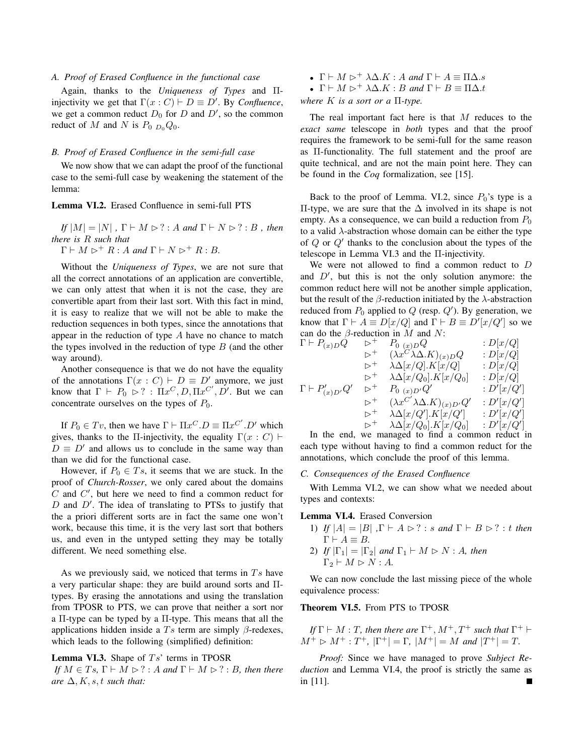# *A. Proof of Erased Confluence in the functional case*

Again, thanks to the *Uniqueness of Types* and Πinjectivity we get that  $\Gamma(x : C) \vdash D \equiv D'$ . By *Confluence*, we get a common reduct  $D_0$  for D and  $D'$ , so the common reduct of M and N is  $P_0$   $_{D_0}Q_0$ .

# *B. Proof of Erased Confluence in the semi-full case*

We now show that we can adapt the proof of the functional case to the semi-full case by weakening the statement of the lemma:

#### Lemma VI.2. Erased Confluence in semi-full PTS

 $I_f|M| = |N|$ ,  $\Gamma \vdash M \rhd ? : A$  *and*  $\Gamma \vdash N \rhd ? : B$ , *then there is* R *such that*

 $\Gamma \vdash M \rhd^+ R : A \text{ and } \Gamma \vdash N \rhd^+ R : B.$ 

Without the *Uniqueness of Types*, we are not sure that all the correct annotations of an application are convertible, we can only attest that when it is not the case, they are convertible apart from their last sort. With this fact in mind, it is easy to realize that we will not be able to make the reduction sequences in both types, since the annotations that appear in the reduction of type A have no chance to match the types involved in the reduction of type  $B$  (and the other way around).

Another consequence is that we do not have the equality of the annotations  $\Gamma(x : C) \vdash D \equiv D'$  anymore, we just know that  $\Gamma \vdash P_0 \rhd ? : \Pi x^C, D, \Pi x^{C'}, D'$ . But we can concentrate ourselves on the types of  $P_0$ .

If  $P_0 \in Tv$ , then we have  $\Gamma \vdash \Pi x^C \ldotp D \equiv \Pi x^{C'} \ldotp D'$  which gives, thanks to the Π-injectivity, the equality  $\Gamma(x : C)$  ⊢  $D \equiv D'$  and allows us to conclude in the same way than than we did for the functional case.

However, if  $P_0 \in Ts$ , it seems that we are stuck. In the proof of *Church-Rosser*, we only cared about the domains  $C$  and  $C'$ , but here we need to find a common reduct for  $D$  and  $D'$ . The idea of translating to PTSs to justify that the a priori different sorts are in fact the same one won't work, because this time, it is the very last sort that bothers us, and even in the untyped setting they may be totally different. We need something else.

As we previously said, we noticed that terms in  $Ts$  have a very particular shape: they are build around sorts and Πtypes. By erasing the annotations and using the translation from TPOSR to PTS, we can prove that neither a sort nor a Π-type can be typed by a Π-type. This means that all the applications hidden inside a  $Ts$  term are simply  $\beta$ -redexes, which leads to the following (simplified) definition:

## **Lemma VI.3.** Shape of  $Ts'$  terms in TPOSR

*If*  $M \in Ts$ ,  $\Gamma \vdash M \rhd ?$  *:* A and  $\Gamma \vdash M \rhd ?$  *: B, then there are*  $\Delta$ , *K*, *s*, *t such that:* 

- $\Gamma \vdash M \rhd^+ \lambda \Delta . K : A \text{ and } \Gamma \vdash A \equiv \Pi \Delta . s$
- $\Gamma \vdash M \rhd^+ \lambda \Delta . K : B \text{ and } \Gamma \vdash B \equiv \Pi \Delta . t$

*where* K *is a sort or a* Π*-type.*

The real important fact here is that M reduces to the *exact same* telescope in *both* types and that the proof requires the framework to be semi-full for the same reason as Π-functionality. The full statement and the proof are quite technical, and are not the main point here. They can be found in the *Coq* formalization, see [15].

Back to the proof of Lemma. VI.2, since  $P_0$ 's type is a Π-type, we are sure that the ∆ involved in its shape is not empty. As a consequence, we can build a reduction from  $P_0$ to a valid  $\lambda$ -abstraction whose domain can be either the type of Q or Q′ thanks to the conclusion about the types of the telescope in Lemma VI.3 and the Π-injectivity.

We were not allowed to find a common reduct to D and  $D'$ , but this is not the only solution anymore: the common reduct here will not be another simple application, but the result of the  $\beta$ -reduction initiated by the  $\lambda$ -abstraction reduced from  $P_0$  applied to  $Q$  (resp.  $Q'$ ). By generation, we know that  $\Gamma \vdash A \equiv D[x/Q]$  and  $\Gamma \vdash B \equiv D'[x/Q']$  so we can do the  $\beta$ -reduction in M and N:

$$
\Gamma \vdash P_{(x)D}\dot{Q} \qquad \qquad \triangleright^+ \qquad P_{0\ (x)D}Q \qquad \qquad : D[x/Q] \n \qquad \rhd^+ \qquad (\lambda x^C \lambda \Delta.K)_{(x)D}Q \qquad \qquad : D[x/Q] \n \qquad \rhd^+ \qquad \lambda \Delta[x/Q].K[x/Q] \qquad \qquad : D[x/Q] \n \qquad \rhd^+ \qquad \lambda \Delta[x/Q_0].K[x/Q_0] \qquad \qquad : D[x/Q] \n \qquad \rhd^+ \qquad P_{0\ (x)D'}Q' \qquad \qquad : D'[x/Q'] \n \qquad \rhd^+ \qquad (\lambda x^{C'} \lambda \Delta.K)_{(x)D'}Q' \qquad \qquad : D'[x/Q'] \n \qquad \rhd^+ \qquad \lambda \Delta[x/Q].K[x/Q_0] \qquad \qquad : D'[x/Q'] \n \qquad \rhd^+ \qquad \lambda \Delta[x/Q_0].K[x/Q_0] \qquad \qquad : D'[x/Q']
$$

In the end, we managed to find a common reduct in each type without having to find a common reduct for the annotations, which conclude the proof of this lemma.

# *C. Consequences of the Erased Confluence*

With Lemma VI.2, we can show what we needed about types and contexts:

#### Lemma VI.4. Erased Conversion

- 1) *If*  $|A| = |B|$ ,  $\Gamma \vdash A \rhd ? : s$  *and*  $\Gamma \vdash B \rhd ? : t$  *then*  $\Gamma \vdash A \equiv B.$
- 2) *If*  $|\Gamma_1| = |\Gamma_2|$  *and*  $\Gamma_1 \vdash M \rhd N : A$ *, then*  $\Gamma_2 \vdash M \rhd N : A$ .

We can now conclude the last missing piece of the whole equivalence process:

# Theorem VI.5. From PTS to TPOSR

*If*  $\Gamma \vdash M : T$ *, then there are*  $\Gamma^{+}$ *,*  $M^{+}$ *,*  $T^{+}$  *such that*  $\Gamma^{+} \vdash$  $M^+ \triangleright M^+ : T^+, |\Gamma^+| = \Gamma, |\overline{M^+}| = M$  and  $|\overline{T^+}| = T$ .

*Proof:* Since we have managed to prove *Subject Reduction* and Lemma VI.4, the proof is strictly the same as in [11].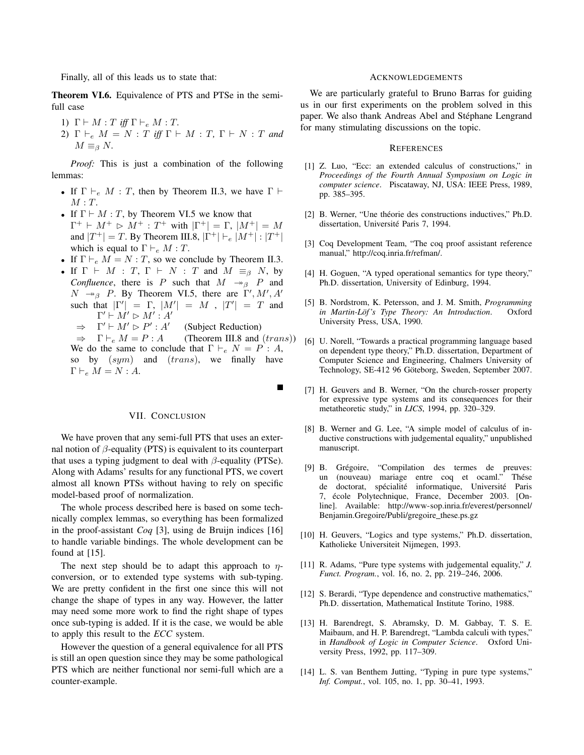Finally, all of this leads us to state that:

Theorem VI.6. Equivalence of PTS and PTSe in the semifull case

- 1)  $\Gamma \vdash M : T$  *iff*  $\Gamma \vdash_e M : T$ .
- 2)  $\Gamma \vdash_e M = N : T$  *iff*  $\Gamma \vdash M : T$ ,  $\Gamma \vdash N : T$  *and*  $M \equiv_{\beta} N$ .

*Proof:* This is just a combination of the following lemmas:

- If  $\Gamma \vdash_e M : T$ , then by Theorem II.3, we have  $\Gamma \vdash$  $M: T$ .
- If  $\Gamma \vdash M : T$ , by Theorem VI.5 we know that  $\Gamma^+ \vdash M^+ \vartriangleright M^+ : T^+$  with  $|\Gamma^+| = \Gamma$ ,  $|M^+| = M$ and  $|T^+| = T$ . By Theorem III.8,  $|\Gamma^+| \vdash_e |M^+| : |T^+|$ which is equal to  $\Gamma \vdash_e M : T$ .
- If  $\Gamma \vdash_e M = N : T$ , so we conclude by Theorem II.3.
- If  $\Gamma \vdash M : T, \Gamma \vdash N : T$  and  $M \equiv_{\beta} N$ , by *Confluence*, there is P such that  $M \rightarrow_B P$  and  $N \rightarrow_{\beta} P$ . By Theorem VI.5, there are  $\Gamma', M', A'$ such that  $|\Gamma'| = \Gamma$ ,  $|M'| = M$ ,  $|T'| = T$  and  $\Gamma' \vdash M' \rhd M' : A'$ 
	- $\Rightarrow$   $\Gamma' \vdash M' \rhd P' : A'$ (Subject Reduction)
	- $\Rightarrow$   $\Gamma \vdash_e M = P : A$  (Theorem III.8 and (trans)) We do the same to conclude that  $\Gamma \vdash_e N = P : A$ , so by  $(sym)$  and  $(trans)$ , we finally have  $\Gamma \vdash_e M = N : A.$

 $\blacksquare$ 

#### VII. CONCLUSION

We have proven that any semi-full PTS that uses an external notion of  $\beta$ -equality (PTS) is equivalent to its counterpart that uses a typing judgment to deal with  $\beta$ -equality (PTSe). Along with Adams' results for any functional PTS, we covert almost all known PTSs without having to rely on specific model-based proof of normalization.

The whole process described here is based on some technically complex lemmas, so everything has been formalized in the proof-assistant *Coq* [3], using de Bruijn indices [16] to handle variable bindings. The whole development can be found at [15].

The next step should be to adapt this approach to  $\eta$ conversion, or to extended type systems with sub-typing. We are pretty confident in the first one since this will not change the shape of types in any way. However, the latter may need some more work to find the right shape of types once sub-typing is added. If it is the case, we would be able to apply this result to the *ECC* system.

However the question of a general equivalence for all PTS is still an open question since they may be some pathological PTS which are neither functional nor semi-full which are a counter-example.

#### ACKNOWLEDGEMENTS

We are particularly grateful to Bruno Barras for guiding us in our first experiments on the problem solved in this paper. We also thank Andreas Abel and Stéphane Lengrand for many stimulating discussions on the topic.

### **REFERENCES**

- [1] Z. Luo, "Ecc: an extended calculus of constructions," in *Proceedings of the Fourth Annual Symposium on Logic in computer science*. Piscataway, NJ, USA: IEEE Press, 1989, pp. 385–395.
- [2] B. Werner, "Une théorie des constructions inductives," Ph.D. dissertation, Université Paris 7, 1994.
- [3] Coq Development Team, "The coq proof assistant reference manual," http://coq.inria.fr/refman/.
- [4] H. Goguen, "A typed operational semantics for type theory," Ph.D. dissertation, University of Edinburg, 1994.
- [5] B. Nordstrom, K. Petersson, and J. M. Smith, *Programming in Martin-Löf's Type Theory: An Introduction.* Oxford University Press, USA, 1990.
- [6] U. Norell, "Towards a practical programming language based on dependent type theory," Ph.D. dissertation, Department of Computer Science and Engineering, Chalmers University of Technology, SE-412 96 Göteborg, Sweden, September 2007.
- [7] H. Geuvers and B. Werner, "On the church-rosser property for expressive type systems and its consequences for their metatheoretic study," in *LICS*, 1994, pp. 320–329.
- [8] B. Werner and G. Lee, "A simple model of calculus of inductive constructions with judgemental equality," unpublished manuscript.
- [9] B. Grégoire, "Compilation des termes de preuves: un (nouveau) mariage entre coq et ocaml." Thése de doctorat, spécialité informatique, Université Paris 7, école Polytechnique, France, December 2003. [Online]. Available: http://www-sop.inria.fr/everest/personnel/ Benjamin.Gregoire/Publi/gregoire\_these.ps.gz
- [10] H. Geuvers, "Logics and type systems," Ph.D. dissertation, Katholieke Universiteit Nijmegen, 1993.
- [11] R. Adams, "Pure type systems with judgemental equality," *J. Funct. Program.*, vol. 16, no. 2, pp. 219–246, 2006.
- [12] S. Berardi, "Type dependence and constructive mathematics," Ph.D. dissertation, Mathematical Institute Torino, 1988.
- [13] H. Barendregt, S. Abramsky, D. M. Gabbay, T. S. E. Maibaum, and H. P. Barendregt, "Lambda calculi with types," in *Handbook of Logic in Computer Science*. Oxford University Press, 1992, pp. 117–309.
- [14] L. S. van Benthem Jutting, "Typing in pure type systems," *Inf. Comput.*, vol. 105, no. 1, pp. 30–41, 1993.